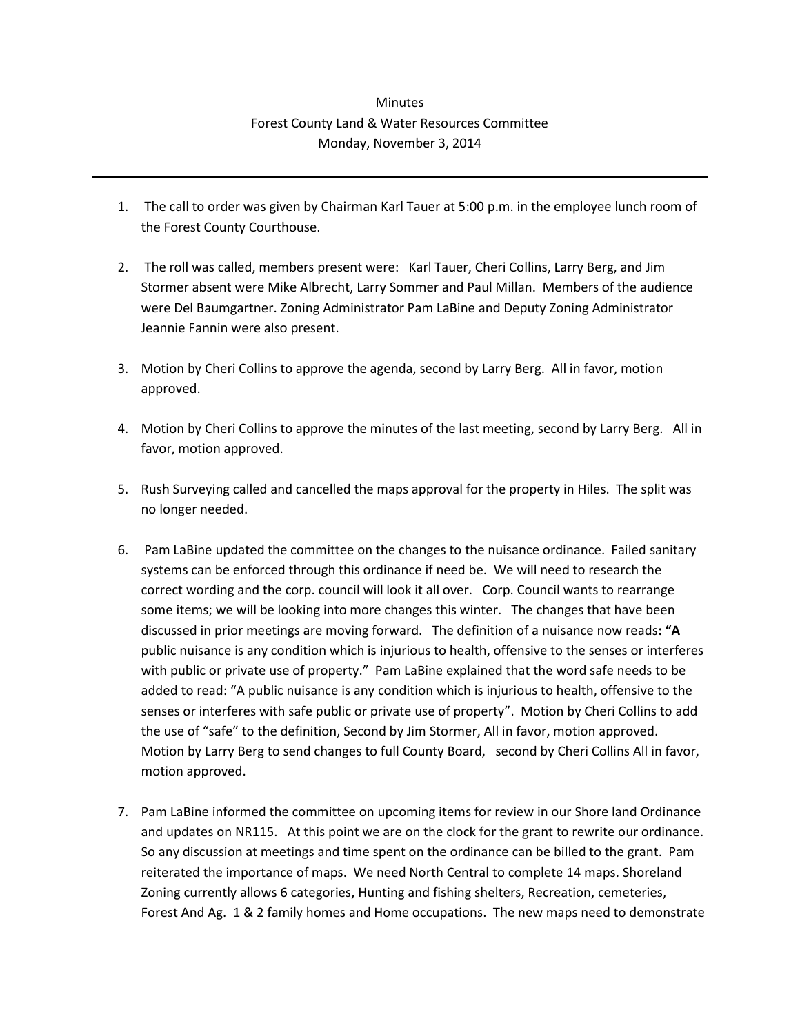## **Minutes** Forest County Land & Water Resources Committee Monday, November 3, 2014

- 1. The call to order was given by Chairman Karl Tauer at 5:00 p.m. in the employee lunch room of the Forest County Courthouse.
- 2. The roll was called, members present were: Karl Tauer, Cheri Collins, Larry Berg, and Jim Stormer absent were Mike Albrecht, Larry Sommer and Paul Millan. Members of the audience were Del Baumgartner. Zoning Administrator Pam LaBine and Deputy Zoning Administrator Jeannie Fannin were also present.
- 3. Motion by Cheri Collins to approve the agenda, second by Larry Berg. All in favor, motion approved.
- 4. Motion by Cheri Collins to approve the minutes of the last meeting, second by Larry Berg. All in favor, motion approved.
- 5. Rush Surveying called and cancelled the maps approval for the property in Hiles. The split was no longer needed.
- 6. Pam LaBine updated the committee on the changes to the nuisance ordinance. Failed sanitary systems can be enforced through this ordinance if need be. We will need to research the correct wording and the corp. council will look it all over. Corp. Council wants to rearrange some items; we will be looking into more changes this winter. The changes that have been discussed in prior meetings are moving forward. The definition of a nuisance now reads**: "A** public nuisance is any condition which is injurious to health, offensive to the senses or interferes with public or private use of property." Pam LaBine explained that the word safe needs to be added to read: "A public nuisance is any condition which is injurious to health, offensive to the senses or interferes with safe public or private use of property". Motion by Cheri Collins to add the use of "safe" to the definition, Second by Jim Stormer, All in favor, motion approved. Motion by Larry Berg to send changes to full County Board, second by Cheri Collins All in favor, motion approved.
- 7. Pam LaBine informed the committee on upcoming items for review in our Shore land Ordinance and updates on NR115. At this point we are on the clock for the grant to rewrite our ordinance. So any discussion at meetings and time spent on the ordinance can be billed to the grant. Pam reiterated the importance of maps. We need North Central to complete 14 maps. Shoreland Zoning currently allows 6 categories, Hunting and fishing shelters, Recreation, cemeteries, Forest And Ag. 1 & 2 family homes and Home occupations. The new maps need to demonstrate